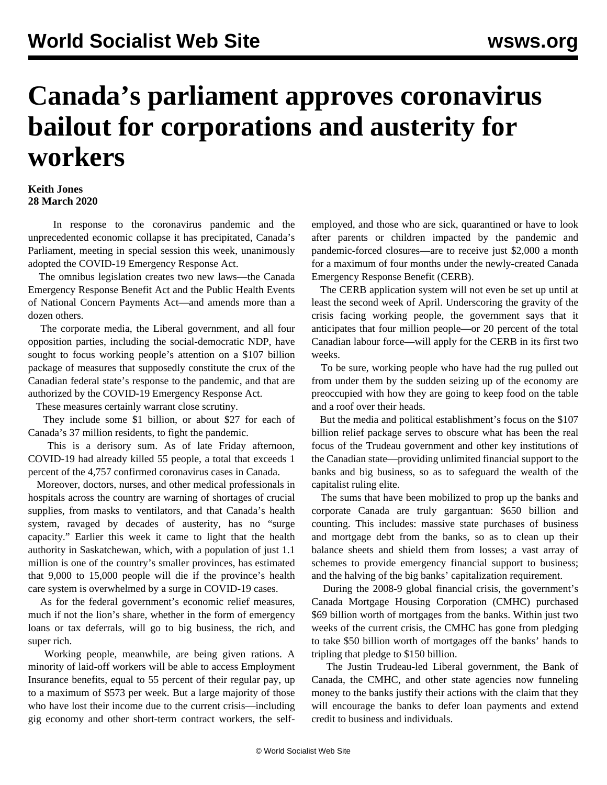## **Canada's parliament approves coronavirus bailout for corporations and austerity for workers**

## **Keith Jones 28 March 2020**

 In response to the coronavirus pandemic and the unprecedented economic collapse it has precipitated, Canada's Parliament, meeting in special session this week, unanimously adopted the COVID-19 Emergency Response Act.

 The omnibus legislation creates two new laws—the Canada Emergency Response Benefit Act and the Public Health Events of National Concern Payments Act—and amends more than a dozen others.

 The corporate media, the Liberal government, and all four opposition parties, including the social-democratic NDP, have sought to focus working people's attention on a \$107 billion package of measures that supposedly constitute the crux of the Canadian federal state's response to the pandemic, and that are authorized by the COVID-19 Emergency Response Act.

These measures certainly warrant close scrutiny.

 They include some \$1 billion, or about \$27 for each of Canada's 37 million residents, to fight the pandemic.

 This is a derisory sum. As of late Friday afternoon, COVID-19 had already killed 55 people, a total that exceeds 1 percent of the 4,757 confirmed coronavirus cases in Canada.

 Moreover, doctors, nurses, and other medical professionals in hospitals across the country are warning of shortages of crucial supplies, from masks to ventilators, and that Canada's health system, ravaged by decades of austerity, has no "surge capacity." Earlier this week it came to light that the health authority in Saskatchewan, which, with a population of just 1.1 million is one of the country's smaller provinces, has estimated that 9,000 to 15,000 people will die if the province's health care system is overwhelmed by a surge in COVID-19 cases.

 As for the federal government's economic relief measures, much if not the lion's share, whether in the form of emergency loans or tax deferrals, will go to big business, the rich, and super rich.

 Working people, meanwhile, are being given rations. A minority of laid-off workers will be able to access Employment Insurance benefits, equal to 55 percent of their regular pay, up to a maximum of \$573 per week. But a large majority of those who have lost their income due to the current crisis—including gig economy and other short-term contract workers, the selfemployed, and those who are sick, quarantined or have to look after parents or children impacted by the pandemic and pandemic-forced closures—are to receive just \$2,000 a month for a maximum of four months under the newly-created Canada Emergency Response Benefit (CERB).

 The CERB application system will not even be set up until at least the second week of April. Underscoring the gravity of the crisis facing working people, the government says that it anticipates that four million people—or 20 percent of the total Canadian labour force—will apply for the CERB in its first two weeks.

 To be sure, working people who have had the rug pulled out from under them by the sudden seizing up of the economy are preoccupied with how they are going to keep food on the table and a roof over their heads.

 But the media and political establishment's focus on the \$107 billion relief package serves to obscure what has been the real focus of the Trudeau government and other key institutions of the Canadian state—providing unlimited financial support to the banks and big business, so as to safeguard the wealth of the capitalist ruling elite.

 The sums that have been mobilized to prop up the banks and corporate Canada are truly gargantuan: \$650 billion and counting. This includes: massive state purchases of business and mortgage debt from the banks, so as to clean up their balance sheets and shield them from losses; a vast array of schemes to provide emergency financial support to business; and the halving of the big banks' capitalization requirement.

 During the 2008-9 global financial crisis, the government's Canada Mortgage Housing Corporation (CMHC) purchased \$69 billion worth of mortgages from the banks. Within just two weeks of the current crisis, the CMHC has gone from pledging to take \$50 billion worth of mortgages off the banks' hands to tripling that pledge to \$150 billion.

 The Justin Trudeau-led Liberal government, the Bank of Canada, the CMHC, and other state agencies now funneling money to the banks justify their actions with the claim that they will encourage the banks to defer loan payments and extend credit to business and individuals.